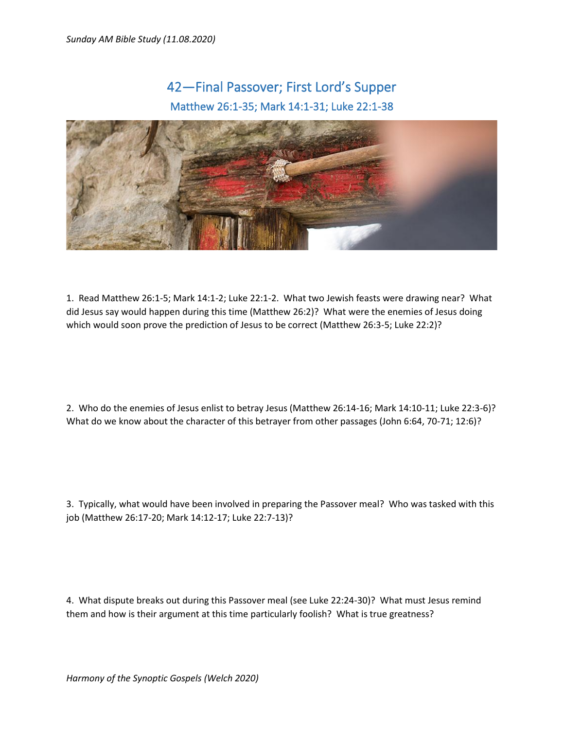## 42—Final Passover; First Lord's Supper Matthew 26:1-35; Mark 14:1-31; Luke 22:1-38



1. Read Matthew 26:1-5; Mark 14:1-2; Luke 22:1-2. What two Jewish feasts were drawing near? What did Jesus say would happen during this time (Matthew 26:2)? What were the enemies of Jesus doing which would soon prove the prediction of Jesus to be correct (Matthew 26:3-5; Luke 22:2)?

2. Who do the enemies of Jesus enlist to betray Jesus (Matthew 26:14-16; Mark 14:10-11; Luke 22:3-6)? What do we know about the character of this betrayer from other passages (John 6:64, 70-71; 12:6)?

3. Typically, what would have been involved in preparing the Passover meal? Who was tasked with this job (Matthew 26:17-20; Mark 14:12-17; Luke 22:7-13)?

4. What dispute breaks out during this Passover meal (see Luke 22:24-30)? What must Jesus remind them and how is their argument at this time particularly foolish? What is true greatness?